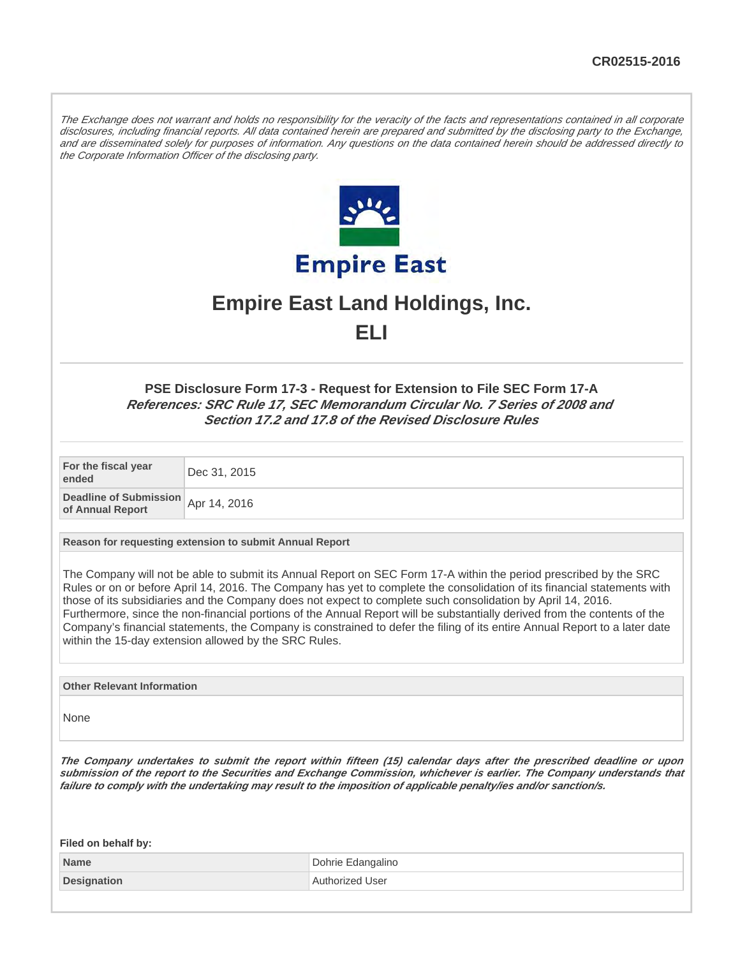The Exchange does not warrant and holds no responsibility for the veracity of the facts and representations contained in all corporate disclosures, including financial reports. All data contained herein are prepared and submitted by the disclosing party to the Exchange, and are disseminated solely for purposes of information. Any questions on the data contained herein should be addressed directly to the Corporate Information Officer of the disclosing party.



# **Empire East Land Holdings, Inc. ELI**

**PSE Disclosure Form 17-3 - Request for Extension to File SEC Form 17-A References: SRC Rule 17, SEC Memorandum Circular No. 7 Series of 2008 and Section 17.2 and 17.8 of the Revised Disclosure Rules**

**For the fiscal year ended** Dec 31, 2015

**Deadline of Submission beading of Subtities Of Apr 14, 2016** 

**Reason for requesting extension to submit Annual Report**

The Company will not be able to submit its Annual Report on SEC Form 17-A within the period prescribed by the SRC Rules or on or before April 14, 2016. The Company has yet to complete the consolidation of its financial statements with those of its subsidiaries and the Company does not expect to complete such consolidation by April 14, 2016. Furthermore, since the non-financial portions of the Annual Report will be substantially derived from the contents of the Company's financial statements, the Company is constrained to defer the filing of its entire Annual Report to a later date within the 15-day extension allowed by the SRC Rules.

**Other Relevant Information**

None

**The Company undertakes to submit the report within fifteen (15) calendar days after the prescribed deadline or upon submission of the report to the Securities and Exchange Commission, whichever is earlier. The Company understands that failure to comply with the undertaking may result to the imposition of applicable penalty/ies and/or sanction/s.**

| Filed on behalf by: |                   |
|---------------------|-------------------|
| Name                | Dohrie Edangalino |
| Designation         | Authorized User   |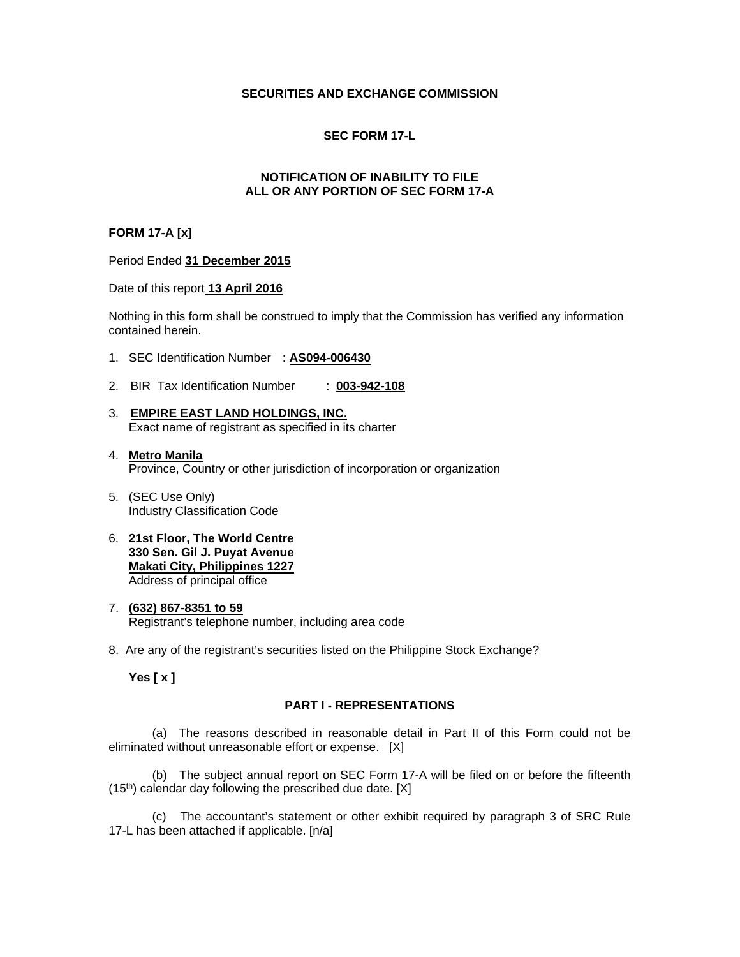## **SECURITIES AND EXCHANGE COMMISSION**

## **SEC FORM 17-L**

## **NOTIFICATION OF INABILITY TO FILE ALL OR ANY PORTION OF SEC FORM 17-A**

## **FORM 17-A [x]**

#### Period Ended **31 December 2015**

#### Date of this report **13 April 2016**

Nothing in this form shall be construed to imply that the Commission has verified any information contained herein.

- 1. SEC Identification Number : **AS094-006430**
- 2. BIR Tax Identification Number : **003-942-108**
- 3. **EMPIRE EAST LAND HOLDINGS, INC.**  Exact name of registrant as specified in its charter
- 4. **Metro Manila** Province, Country or other jurisdiction of incorporation or organization
- 5. (SEC Use Only) Industry Classification Code
- 6. **21st Floor, The World Centre 330 Sen. Gil J. Puyat Avenue Makati City, Philippines 1227** Address of principal office
- 7. **(632) 867-8351 to 59**  Registrant's telephone number, including area code
- 8. Are any of the registrant's securities listed on the Philippine Stock Exchange?

**Yes [ x ]** 

#### **PART I - REPRESENTATIONS**

(a) The reasons described in reasonable detail in Part II of this Form could not be eliminated without unreasonable effort or expense. [X]

(b) The subject annual report on SEC Form 17-A will be filed on or before the fifteenth  $(15<sup>th</sup>)$  calendar day following the prescribed due date. [X]

(c) The accountant's statement or other exhibit required by paragraph 3 of SRC Rule 17-L has been attached if applicable. [n/a]